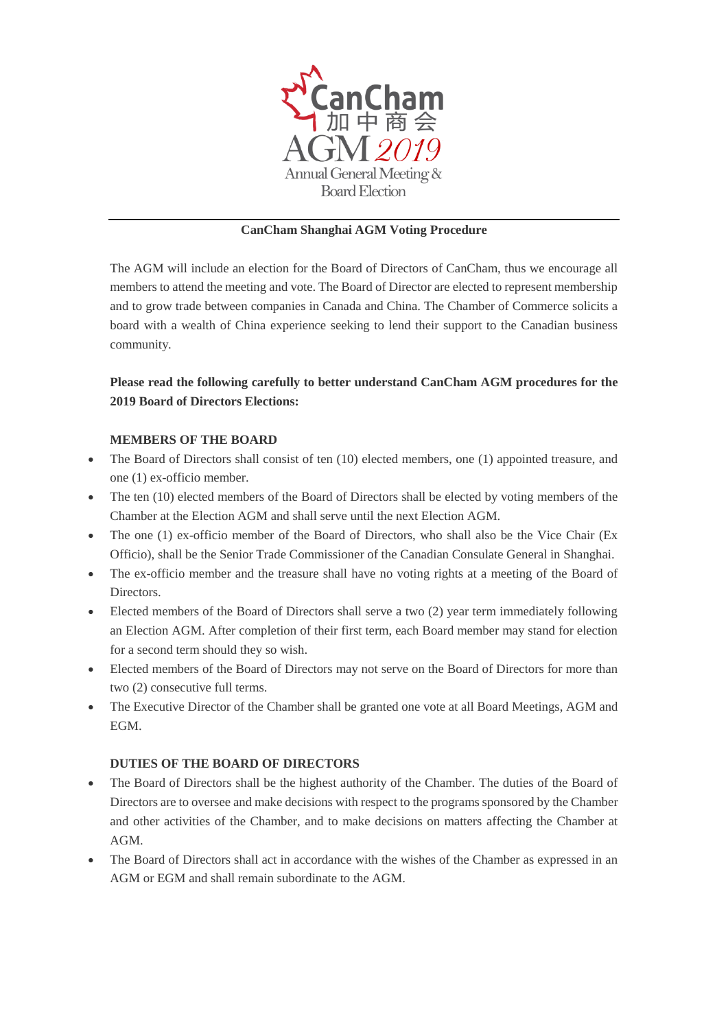

## **CanCham Shanghai AGM Voting Procedure**

The AGM will include an election for the Board of Directors of CanCham, thus we encourage all members to attend the meeting and vote. The Board of Director are elected to represent membership and to grow trade between companies in Canada and China. The Chamber of Commerce solicits a board with a wealth of China experience seeking to lend their support to the Canadian business community.

# **Please read the following carefully to better understand CanCham AGM procedures for the 2019 Board of Directors Elections:**

## **MEMBERS OF THE BOARD**

- The Board of Directors shall consist of ten (10) elected members, one (1) appointed treasure, and one (1) ex-officio member.
- The ten (10) elected members of the Board of Directors shall be elected by voting members of the Chamber at the Election AGM and shall serve until the next Election AGM.
- The one (1) ex-officio member of the Board of Directors, who shall also be the Vice Chair (Ex Officio), shall be the Senior Trade Commissioner of the Canadian Consulate General in Shanghai.
- The ex-officio member and the treasure shall have no voting rights at a meeting of the Board of Directors.
- Elected members of the Board of Directors shall serve a two (2) year term immediately following an Election AGM. After completion of their first term, each Board member may stand for election for a second term should they so wish.
- Elected members of the Board of Directors may not serve on the Board of Directors for more than two (2) consecutive full terms.
- The Executive Director of the Chamber shall be granted one vote at all Board Meetings, AGM and EGM.

## **DUTIES OF THE BOARD OF DIRECTORS**

- The Board of Directors shall be the highest authority of the Chamber. The duties of the Board of Directors are to oversee and make decisions with respect to the programs sponsored by the Chamber and other activities of the Chamber, and to make decisions on matters affecting the Chamber at AGM.
- The Board of Directors shall act in accordance with the wishes of the Chamber as expressed in an AGM or EGM and shall remain subordinate to the AGM.